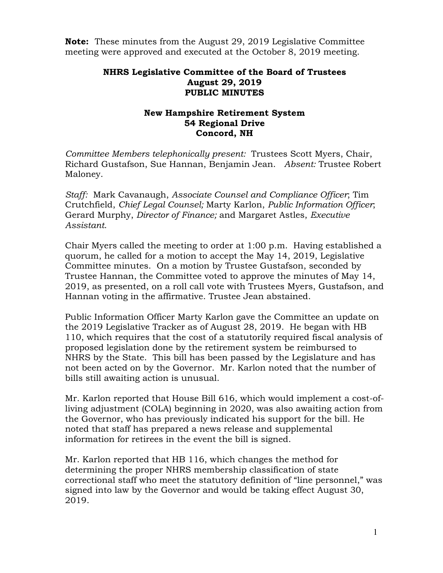**Note:** These minutes from the August 29, 2019 Legislative Committee meeting were approved and executed at the October 8, 2019 meeting.

## **NHRS Legislative Committee of the Board of Trustees August 29, 2019 PUBLIC MINUTES**

## **New Hampshire Retirement System 54 Regional Drive Concord, NH**

*Committee Members telephonically present:* Trustees Scott Myers, Chair, Richard Gustafson, Sue Hannan, Benjamin Jean. *Absent:* Trustee Robert Maloney.

*Staff:* Mark Cavanaugh, *Associate Counsel and Compliance Officer*; Tim Crutchfield, *Chief Legal Counsel;* Marty Karlon, *Public Information Officer*; Gerard Murphy, *Director of Finance;* and Margaret Astles, *Executive Assistant*.

Chair Myers called the meeting to order at 1:00 p.m. Having established a quorum, he called for a motion to accept the May 14, 2019, Legislative Committee minutes. On a motion by Trustee Gustafson, seconded by Trustee Hannan, the Committee voted to approve the minutes of May 14, 2019, as presented, on a roll call vote with Trustees Myers, Gustafson, and Hannan voting in the affirmative. Trustee Jean abstained.

Public Information Officer Marty Karlon gave the Committee an update on the 2019 Legislative Tracker as of August 28, 2019. He began with HB 110, which requires that the cost of a statutorily required fiscal analysis of proposed legislation done by the retirement system be reimbursed to NHRS by the State. This bill has been passed by the Legislature and has not been acted on by the Governor. Mr. Karlon noted that the number of bills still awaiting action is unusual.

Mr. Karlon reported that House Bill 616, which would implement a cost-ofliving adjustment (COLA) beginning in 2020, was also awaiting action from the Governor, who has previously indicated his support for the bill. He noted that staff has prepared a news release and supplemental information for retirees in the event the bill is signed.

Mr. Karlon reported that HB 116, which changes the method for determining the proper NHRS membership classification of state correctional staff who meet the statutory definition of "line personnel," was signed into law by the Governor and would be taking effect August 30, 2019.